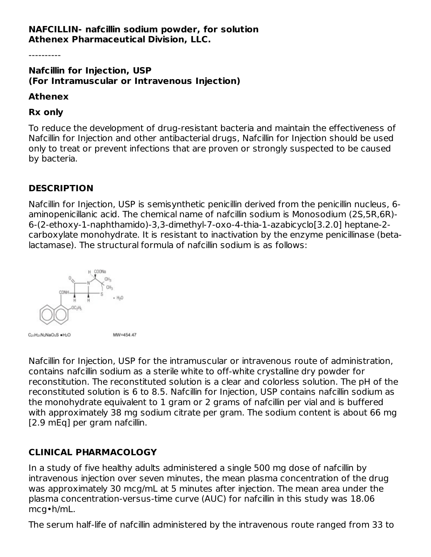#### **NAFCILLIN- nafcillin sodium powder, for solution Athenex Pharmaceutical Division, LLC.**

**Nafcillin for Injection, USP (For Intramuscular or Intravenous Injection)**

#### **Athenex**

#### **Rx only**

To reduce the development of drug-resistant bacteria and maintain the effectiveness of Nafcillin for Injection and other antibacterial drugs, Nafcillin for Injection should be used only to treat or prevent infections that are proven or strongly suspected to be caused by bacteria.

### **DESCRIPTION**

Nafcillin for Injection, USP is semisynthetic penicillin derived from the penicillin nucleus, 6 aminopenicillanic acid. The chemical name of nafcillin sodium is Monosodium (2S,5R,6R)- 6-(2-ethoxy-1-naphthamido)-3,3-dimethyl-7-oxo-4-thia-1-azabicyclo[3.2.0] heptane-2 carboxylate monohydrate. It is resistant to inactivation by the enzyme penicillinase (betalactamase). The structural formula of nafcillin sodium is as follows:



Nafcillin for Injection, USP for the intramuscular or intravenous route of administration, contains nafcillin sodium as a sterile white to off-white crystalline dry powder for reconstitution. The reconstituted solution is a clear and colorless solution. The pH of the reconstituted solution is 6 to 8.5. Nafcillin for Injection, USP contains nafcillin sodium as the monohydrate equivalent to 1 gram or 2 grams of nafcillin per vial and is buffered with approximately 38 mg sodium citrate per gram. The sodium content is about 66 mg [2.9 mEq] per gram nafcillin.

### **CLINICAL PHARMACOLOGY**

In a study of five healthy adults administered a single 500 mg dose of nafcillin by intravenous injection over seven minutes, the mean plasma concentration of the drug was approximately 30 mcg/mL at 5 minutes after injection. The mean area under the plasma concentration-versus-time curve (AUC) for nafcillin in this study was 18.06 mcg•h/mL.

The serum half-life of nafcillin administered by the intravenous route ranged from 33 to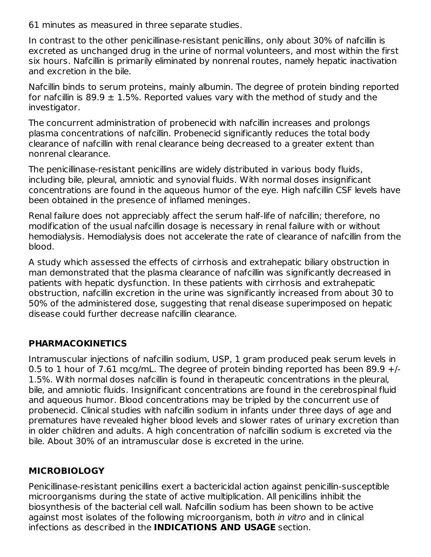61 minutes as measured in three separate studies.

In contrast to the other penicillinase-resistant penicillins, only about 30% of nafcillin is excreted as unchanged drug in the urine of normal volunteers, and most within the first six hours. Nafcillin is primarily eliminated by nonrenal routes, namely hepatic inactivation and excretion in the bile.

Nafcillin binds to serum proteins, mainly albumin. The degree of protein binding reported for nafcillin is 89.9  $\pm$  1.5%. Reported values vary with the method of study and the investigator.

The concurrent administration of probenecid with nafcillin increases and prolongs plasma concentrations of nafcillin. Probenecid significantly reduces the total body clearance of nafcillin with renal clearance being decreased to a greater extent than nonrenal clearance.

The penicillinase-resistant penicillins are widely distributed in various body fluids, including bile, pleural, amniotic and synovial fluids. With normal doses insignificant concentrations are found in the aqueous humor of the eye. High nafcillin CSF levels have been obtained in the presence of inflamed meninges.

Renal failure does not appreciably affect the serum half-life of nafcillin; therefore, no modification of the usual nafcillin dosage is necessary in renal failure with or without hemodialysis. Hemodialysis does not accelerate the rate of clearance of nafcillin from the blood.

A study which assessed the effects of cirrhosis and extrahepatic biliary obstruction in man demonstrated that the plasma clearance of nafcillin was significantly decreased in patients with hepatic dysfunction. In these patients with cirrhosis and extrahepatic obstruction, nafcillin excretion in the urine was significantly increased from about 30 to 50% of the administered dose, suggesting that renal disease superimposed on hepatic disease could further decrease nafcillin clearance.

### **PHARMACOKINETICS**

Intramuscular injections of nafcillin sodium, USP, 1 gram produced peak serum levels in 0.5 to 1 hour of 7.61 mcg/mL. The degree of protein binding reported has been 89.9  $+/-$ 1.5%. With normal doses nafcillin is found in therapeutic concentrations in the pleural, bile, and amniotic fluids. Insignificant concentrations are found in the cerebrospinal fluid and aqueous humor. Blood concentrations may be tripled by the concurrent use of probenecid. Clinical studies with nafcillin sodium in infants under three days of age and prematures have revealed higher blood levels and slower rates of urinary excretion than in older children and adults. A high concentration of nafcillin sodium is excreted via the bile. About 30% of an intramuscular dose is excreted in the urine.

### **MICROBIOLOGY**

Penicillinase-resistant penicillins exert a bactericidal action against penicillin-susceptible microorganisms during the state of active multiplication. All penicillins inhibit the biosynthesis of the bacterial cell wall. Nafcillin sodium has been shown to be active against most isolates of the following microorganism, both *in vitro* and in clinical infections as described in the **INDICATIONS AND USAGE** section.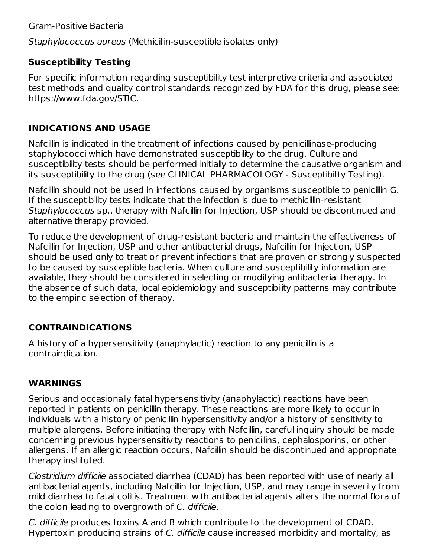Staphylococcus aureus (Methicillin-susceptible isolates only)

## **Susceptibility Testing**

For specific information regarding susceptibility test interpretive criteria and associated test methods and quality control standards recognized by FDA for this drug, please see: https://www.fda.gov/STIC.

#### **INDICATIONS AND USAGE**

Nafcillin is indicated in the treatment of infections caused by penicillinase-producing staphylococci which have demonstrated susceptibility to the drug. Culture and susceptibility tests should be performed initially to determine the causative organism and its susceptibility to the drug (see CLINICAL PHARMACOLOGY - Susceptibility Testing).

Nafcillin should not be used in infections caused by organisms susceptible to penicillin G. If the susceptibility tests indicate that the infection is due to methicillin-resistant Staphylococcus sp., therapy with Nafcillin for Injection, USP should be discontinued and alternative therapy provided.

To reduce the development of drug-resistant bacteria and maintain the effectiveness of Nafcillin for Injection, USP and other antibacterial drugs, Nafcillin for Injection, USP should be used only to treat or prevent infections that are proven or strongly suspected to be caused by susceptible bacteria. When culture and susceptibility information are available, they should be considered in selecting or modifying antibacterial therapy. In the absence of such data, local epidemiology and susceptibility patterns may contribute to the empiric selection of therapy.

# **CONTRAINDICATIONS**

A history of a hypersensitivity (anaphylactic) reaction to any penicillin is a contraindication.

### **WARNINGS**

Serious and occasionally fatal hypersensitivity (anaphylactic) reactions have been reported in patients on penicillin therapy. These reactions are more likely to occur in individuals with a history of penicillin hypersensitivity and/or a history of sensitivity to multiple allergens. Before initiating therapy with Nafcillin, careful inquiry should be made concerning previous hypersensitivity reactions to penicillins, cephalosporins, or other allergens. If an allergic reaction occurs, Nafcillin should be discontinued and appropriate therapy instituted.

Clostridium difficile associated diarrhea (CDAD) has been reported with use of nearly all antibacterial agents, including Nafcillin for Injection, USP, and may range in severity from mild diarrhea to fatal colitis. Treatment with antibacterial agents alters the normal flora of the colon leading to overgrowth of C. difficile.

C. difficile produces toxins A and B which contribute to the development of CDAD. Hypertoxin producing strains of C. difficile cause increased morbidity and mortality, as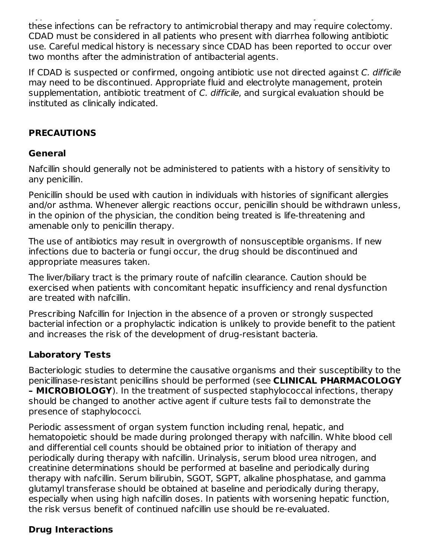$\mathcal{H}_{\mathcal{F}}$  and  $\mathcal{F}_{\mathcal{F}}$  branches increased more increased more increased more increased more increased more increased more increased more increased more increased more increased more increased more increased mor these infections can be refractory to antimicrobial therapy and may require colectomy. CDAD must be considered in all patients who present with diarrhea following antibiotic use. Careful medical history is necessary since CDAD has been reported to occur over two months after the administration of antibacterial agents.

If CDAD is suspected or confirmed, ongoing antibiotic use not directed against C. difficile may need to be discontinued. Appropriate fluid and electrolyte management, protein supplementation, antibiotic treatment of C. difficile, and surgical evaluation should be instituted as clinically indicated.

#### **PRECAUTIONS**

#### **General**

Nafcillin should generally not be administered to patients with a history of sensitivity to any penicillin.

Penicillin should be used with caution in individuals with histories of significant allergies and/or asthma. Whenever allergic reactions occur, penicillin should be withdrawn unless, in the opinion of the physician, the condition being treated is life-threatening and amenable only to penicillin therapy.

The use of antibiotics may result in overgrowth of nonsusceptible organisms. If new infections due to bacteria or fungi occur, the drug should be discontinued and appropriate measures taken.

The liver/biliary tract is the primary route of nafcillin clearance. Caution should be exercised when patients with concomitant hepatic insufficiency and renal dysfunction are treated with nafcillin.

Prescribing Nafcillin for Injection in the absence of a proven or strongly suspected bacterial infection or a prophylactic indication is unlikely to provide benefit to the patient and increases the risk of the development of drug-resistant bacteria.

### **Laboratory Tests**

Bacteriologic studies to determine the causative organisms and their susceptibility to the penicillinase-resistant penicillins should be performed (see **CLINICAL PHARMACOLOGY – MICROBIOLOGY**). In the treatment of suspected staphylococcal infections, therapy should be changed to another active agent if culture tests fail to demonstrate the presence of staphylococci.

Periodic assessment of organ system function including renal, hepatic, and hematopoietic should be made during prolonged therapy with nafcillin. White blood cell and differential cell counts should be obtained prior to initiation of therapy and periodically during therapy with nafcillin. Urinalysis, serum blood urea nitrogen, and creatinine determinations should be performed at baseline and periodically during therapy with nafcillin. Serum bilirubin, SGOT, SGPT, alkaline phosphatase, and gamma glutamyl transferase should be obtained at baseline and periodically during therapy, especially when using high nafcillin doses. In patients with worsening hepatic function, the risk versus benefit of continued nafcillin use should be re-evaluated.

### **Drug Interactions**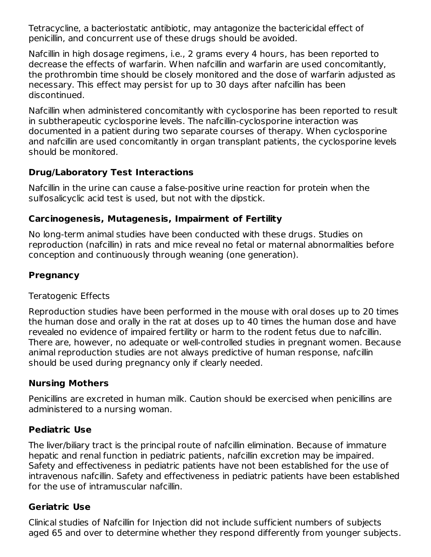Tetracycline, a bacteriostatic antibiotic, may antagonize the bactericidal effect of penicillin, and concurrent use of these drugs should be avoided.

Nafcillin in high dosage regimens, i.e., 2 grams every 4 hours, has been reported to decrease the effects of warfarin. When nafcillin and warfarin are used concomitantly, the prothrombin time should be closely monitored and the dose of warfarin adjusted as necessary. This effect may persist for up to 30 days after nafcillin has been discontinued.

Nafcillin when administered concomitantly with cyclosporine has been reported to result in subtherapeutic cyclosporine levels. The nafcillin-cyclosporine interaction was documented in a patient during two separate courses of therapy. When cyclosporine and nafcillin are used concomitantly in organ transplant patients, the cyclosporine levels should be monitored.

# **Drug/Laboratory Test Interactions**

Nafcillin in the urine can cause a false-positive urine reaction for protein when the sulfosalicyclic acid test is used, but not with the dipstick.

### **Carcinogenesis, Mutagenesis, Impairment of Fertility**

No long-term animal studies have been conducted with these drugs. Studies on reproduction (nafcillin) in rats and mice reveal no fetal or maternal abnormalities before conception and continuously through weaning (one generation).

# **Pregnancy**

### Teratogenic Effects

Reproduction studies have been performed in the mouse with oral doses up to 20 times the human dose and orally in the rat at doses up to 40 times the human dose and have revealed no evidence of impaired fertility or harm to the rodent fetus due to nafcillin. There are, however, no adequate or well-controlled studies in pregnant women. Because animal reproduction studies are not always predictive of human response, nafcillin should be used during pregnancy only if clearly needed.

### **Nursing Mothers**

Penicillins are excreted in human milk. Caution should be exercised when penicillins are administered to a nursing woman.

### **Pediatric Use**

The liver/biliary tract is the principal route of nafcillin elimination. Because of immature hepatic and renal function in pediatric patients, nafcillin excretion may be impaired. Safety and effectiveness in pediatric patients have not been established for the use of intravenous nafcillin. Safety and effectiveness in pediatric patients have been established for the use of intramuscular nafcillin.

### **Geriatric Use**

Clinical studies of Nafcillin for Injection did not include sufficient numbers of subjects aged 65 and over to determine whether they respond differently from younger subjects.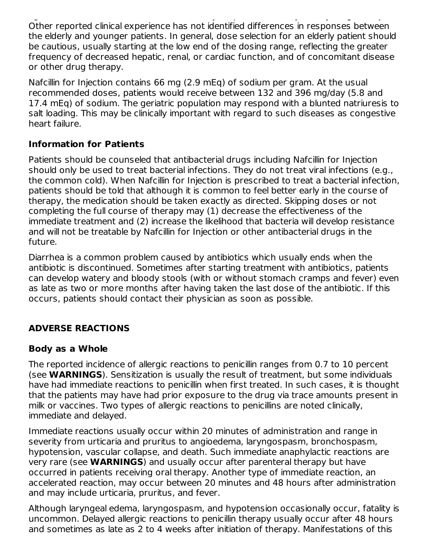aged 65 and over to determine whether they respond differently from younger subjects. Other reported clinical experience has not identified differences in responses between the elderly and younger patients. In general, dose selection for an elderly patient should be cautious, usually starting at the low end of the dosing range, reflecting the greater frequency of decreased hepatic, renal, or cardiac function, and of concomitant disease or other drug therapy.

Nafcillin for Injection contains 66 mg (2.9 mEq) of sodium per gram. At the usual recommended doses, patients would receive between 132 and 396 mg/day (5.8 and 17.4 mEq) of sodium. The geriatric population may respond with a blunted natriuresis to salt loading. This may be clinically important with regard to such diseases as congestive heart failure.

# **Information for Patients**

Patients should be counseled that antibacterial drugs including Nafcillin for Injection should only be used to treat bacterial infections. They do not treat viral infections (e.g., the common cold). When Nafcillin for Injection is prescribed to treat a bacterial infection, patients should be told that although it is common to feel better early in the course of therapy, the medication should be taken exactly as directed. Skipping doses or not completing the full course of therapy may (1) decrease the effectiveness of the immediate treatment and (2) increase the likelihood that bacteria will develop resistance and will not be treatable by Nafcillin for Injection or other antibacterial drugs in the future.

Diarrhea is a common problem caused by antibiotics which usually ends when the antibiotic is discontinued. Sometimes after starting treatment with antibiotics, patients can develop watery and bloody stools (with or without stomach cramps and fever) even as late as two or more months after having taken the last dose of the antibiotic. If this occurs, patients should contact their physician as soon as possible.

# **ADVERSE REACTIONS**

### **Body as a Whole**

The reported incidence of allergic reactions to penicillin ranges from 0.7 to 10 percent (see **WARNINGS**). Sensitization is usually the result of treatment, but some individuals have had immediate reactions to penicillin when first treated. In such cases, it is thought that the patients may have had prior exposure to the drug via trace amounts present in milk or vaccines. Two types of allergic reactions to penicillins are noted clinically, immediate and delayed.

Immediate reactions usually occur within 20 minutes of administration and range in severity from urticaria and pruritus to angioedema, laryngospasm, bronchospasm, hypotension, vascular collapse, and death. Such immediate anaphylactic reactions are very rare (see **WARNINGS**) and usually occur after parenteral therapy but have occurred in patients receiving oral therapy. Another type of immediate reaction, an accelerated reaction, may occur between 20 minutes and 48 hours after administration and may include urticaria, pruritus, and fever.

Although laryngeal edema, laryngospasm, and hypotension occasionally occur, fatality is uncommon. Delayed allergic reactions to penicillin therapy usually occur after 48 hours and sometimes as late as 2 to 4 weeks after initiation of therapy. Manifestations of this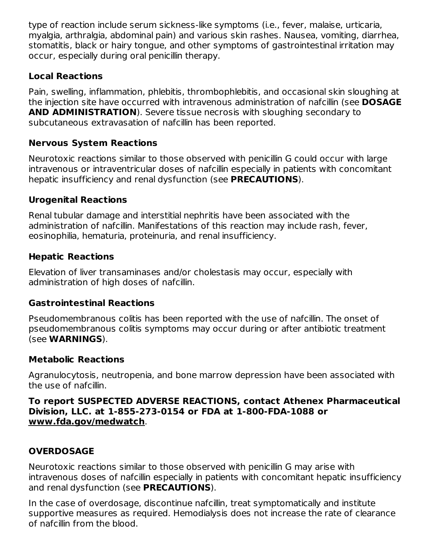type of reaction include serum sickness-like symptoms (i.e., fever, malaise, urticaria, myalgia, arthralgia, abdominal pain) and various skin rashes. Nausea, vomiting, diarrhea, stomatitis, black or hairy tongue, and other symptoms of gastrointestinal irritation may occur, especially during oral penicillin therapy.

## **Local Reactions**

Pain, swelling, inflammation, phlebitis, thrombophlebitis, and occasional skin sloughing at the injection site have occurred with intravenous administration of nafcillin (see **DOSAGE AND ADMINISTRATION**). Severe tissue necrosis with sloughing secondary to subcutaneous extravasation of nafcillin has been reported.

# **Nervous System Reactions**

Neurotoxic reactions similar to those observed with penicillin G could occur with large intravenous or intraventricular doses of nafcillin especially in patients with concomitant hepatic insufficiency and renal dysfunction (see **PRECAUTIONS**).

# **Urogenital Reactions**

Renal tubular damage and interstitial nephritis have been associated with the administration of nafcillin. Manifestations of this reaction may include rash, fever, eosinophilia, hematuria, proteinuria, and renal insufficiency.

# **Hepatic Reactions**

Elevation of liver transaminases and/or cholestasis may occur, especially with administration of high doses of nafcillin.

### **Gastrointestinal Reactions**

Pseudomembranous colitis has been reported with the use of nafcillin. The onset of pseudomembranous colitis symptoms may occur during or after antibiotic treatment (see **WARNINGS**).

### **Metabolic Reactions**

Agranulocytosis, neutropenia, and bone marrow depression have been associated with the use of nafcillin.

#### **To report SUSPECTED ADVERSE REACTIONS, contact Athenex Pharmaceutical Division, LLC. at 1-855-273-0154 or FDA at 1-800-FDA-1088 or www.fda.gov/medwatch**.

# **OVERDOSAGE**

Neurotoxic reactions similar to those observed with penicillin G may arise with intravenous doses of nafcillin especially in patients with concomitant hepatic insufficiency and renal dysfunction (see **PRECAUTIONS**).

In the case of overdosage, discontinue nafcillin, treat symptomatically and institute supportive measures as required. Hemodialysis does not increase the rate of clearance of nafcillin from the blood.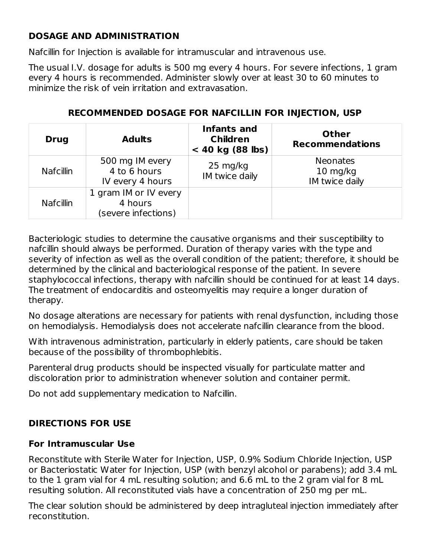### **DOSAGE AND ADMINISTRATION**

Nafcillin for Injection is available for intramuscular and intravenous use.

The usual I.V. dosage for adults is 500 mg every 4 hours. For severe infections, 1 gram every 4 hours is recommended. Administer slowly over at least 30 to 60 minutes to minimize the risk of vein irritation and extravasation.

| <b>Drug</b>      | <b>Adults</b>                                           | Infants and<br><b>Children</b><br>$< 40$ kg (88 lbs) | <b>Other</b><br><b>Recommendations</b>                    |
|------------------|---------------------------------------------------------|------------------------------------------------------|-----------------------------------------------------------|
| <b>Nafcillin</b> | 500 mg IM every<br>4 to 6 hours<br>IV every 4 hours     | $25 \text{ mg/kg}$<br>IM twice daily                 | <b>Neonates</b><br>$10 \; \text{mg/kg}$<br>IM twice daily |
| <b>Nafcillin</b> | 1 gram IM or IV every<br>4 hours<br>(severe infections) |                                                      |                                                           |

### **RECOMMENDED DOSAGE FOR NAFCILLIN FOR INJECTION, USP**

Bacteriologic studies to determine the causative organisms and their susceptibility to nafcillin should always be performed. Duration of therapy varies with the type and severity of infection as well as the overall condition of the patient; therefore, it should be determined by the clinical and bacteriological response of the patient. In severe staphylococcal infections, therapy with nafcillin should be continued for at least 14 days. The treatment of endocarditis and osteomyelitis may require a longer duration of therapy.

No dosage alterations are necessary for patients with renal dysfunction, including those on hemodialysis. Hemodialysis does not accelerate nafcillin clearance from the blood.

With intravenous administration, particularly in elderly patients, care should be taken because of the possibility of thrombophlebitis.

Parenteral drug products should be inspected visually for particulate matter and discoloration prior to administration whenever solution and container permit.

Do not add supplementary medication to Nafcillin.

### **DIRECTIONS FOR USE**

#### **For Intramuscular Use**

Reconstitute with Sterile Water for Injection, USP, 0.9% Sodium Chloride Injection, USP or Bacteriostatic Water for Injection, USP (with benzyl alcohol or parabens); add 3.4 mL to the 1 gram vial for 4 mL resulting solution; and 6.6 mL to the 2 gram vial for 8 mL resulting solution. All reconstituted vials have a concentration of 250 mg per mL.

The clear solution should be administered by deep intragluteal injection immediately after reconstitution.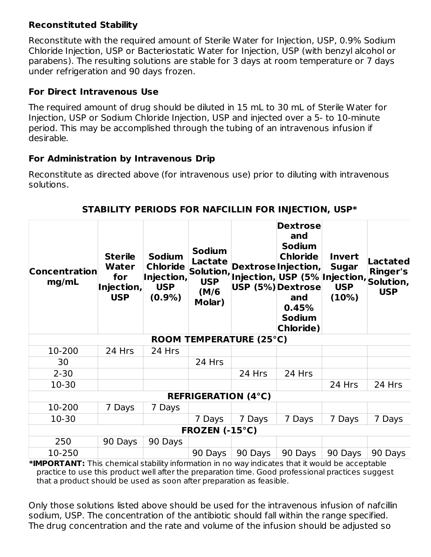## **Reconstituted Stability**

Reconstitute with the required amount of Sterile Water for Injection, USP, 0.9% Sodium Chloride Injection, USP or Bacteriostatic Water for Injection, USP (with benzyl alcohol or parabens). The resulting solutions are stable for 3 days at room temperature or 7 days under refrigeration and 90 days frozen.

# **For Direct Intravenous Use**

The required amount of drug should be diluted in 15 mL to 30 mL of Sterile Water for Injection, USP or Sodium Chloride Injection, USP and injected over a 5- to 10-minute period. This may be accomplished through the tubing of an intravenous infusion if desirable.

### **For Administration by Intravenous Drip**

Reconstitute as directed above (for intravenous use) prior to diluting with intravenous solutions.

| <b>Concentration</b><br>mg/mL | <b>Sterile</b><br>Water<br>for<br>Injection,<br><b>USP</b> | <b>Sodium</b><br><b>Chloride</b><br>Injection,<br><b>USP</b><br>$(0.9\%)$ | <b>Sodium</b><br>Lactate<br>Solution,<br><b>USP</b><br>(M/6)<br>Molar) | Injection, USP (5% Injection, Solution,<br>USP (5%) Dextrose | <b>Dextrose</b><br>and<br><b>Sodium</b><br><b>Chloride</b><br>Dextrose Injection,<br>and<br>0.45%<br><b>Sodium</b><br>Chloride) | <b>Invert</b><br><b>Sugar</b><br><b>USP</b><br>(10%) | Lactated<br><b>Ringer's</b><br><b>USP</b> |
|-------------------------------|------------------------------------------------------------|---------------------------------------------------------------------------|------------------------------------------------------------------------|--------------------------------------------------------------|---------------------------------------------------------------------------------------------------------------------------------|------------------------------------------------------|-------------------------------------------|
| ROOM TEMPERATURE (25°C)       |                                                            |                                                                           |                                                                        |                                                              |                                                                                                                                 |                                                      |                                           |
| 10-200                        | 24 Hrs                                                     | 24 Hrs                                                                    |                                                                        |                                                              |                                                                                                                                 |                                                      |                                           |
| 30                            |                                                            |                                                                           | 24 Hrs                                                                 |                                                              |                                                                                                                                 |                                                      |                                           |
| $2 - 30$                      |                                                            |                                                                           |                                                                        | 24 Hrs                                                       | 24 Hrs                                                                                                                          |                                                      |                                           |
| $10-30$                       |                                                            |                                                                           |                                                                        |                                                              |                                                                                                                                 | 24 Hrs                                               | 24 Hrs                                    |
| <b>REFRIGERATION (4°C)</b>    |                                                            |                                                                           |                                                                        |                                                              |                                                                                                                                 |                                                      |                                           |
| 10-200                        | 7 Days                                                     | 7 Days                                                                    |                                                                        |                                                              |                                                                                                                                 |                                                      |                                           |
| $10-30$                       |                                                            |                                                                           | 7 Days                                                                 | 7 Days                                                       | 7 Days                                                                                                                          | 7 Days                                               | 7 Days                                    |
|                               |                                                            |                                                                           | FROZEN (-15°C)                                                         |                                                              |                                                                                                                                 |                                                      |                                           |
| 250                           | 90 Days                                                    | 90 Days                                                                   |                                                                        |                                                              |                                                                                                                                 |                                                      |                                           |
| 10-250                        |                                                            |                                                                           | 90 Days                                                                | 90 Days                                                      | 90 Days                                                                                                                         | 90 Days                                              | 90 Days                                   |

### **STABILITY PERIODS FOR NAFCILLIN FOR INJECTION, USP\***

**\*IMPORTANT:** This chemical stability information in no way indicates that it would be acceptable practice to use this product well after the preparation time. Good professional practices suggest that a product should be used as soon after preparation as feasible.

Only those solutions listed above should be used for the intravenous infusion of nafcillin sodium, USP. The concentration of the antibiotic should fall within the range specified. The drug concentration and the rate and volume of the infusion should be adjusted so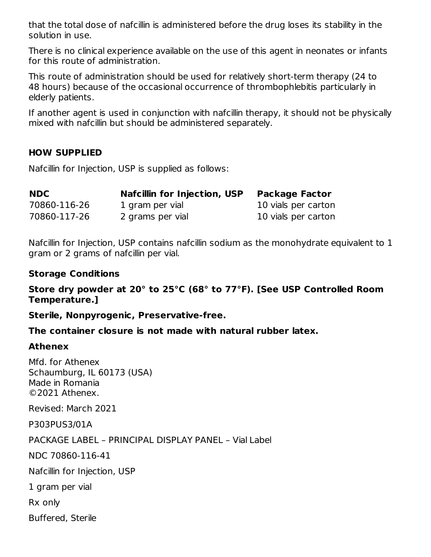that the total dose of nafcillin is administered before the drug loses its stability in the solution in use.

There is no clinical experience available on the use of this agent in neonates or infants for this route of administration.

This route of administration should be used for relatively short-term therapy (24 to 48 hours) because of the occasional occurrence of thrombophlebitis particularly in elderly patients.

If another agent is used in conjunction with nafcillin therapy, it should not be physically mixed with nafcillin but should be administered separately.

#### **HOW SUPPLIED**

Nafcillin for Injection, USP is supplied as follows:

| <b>NDC</b>   | Nafcillin for Injection, USP | <b>Package Factor</b> |
|--------------|------------------------------|-----------------------|
| 70860-116-26 | 1 gram per vial              | 10 vials per carton   |
| 70860-117-26 | 2 grams per vial             | 10 vials per carton   |

Nafcillin for Injection, USP contains nafcillin sodium as the monohydrate equivalent to 1 gram or 2 grams of nafcillin per vial.

#### **Storage Conditions**

**Store dry powder at 20° to 25°C (68° to 77°F). [See USP Controlled Room Temperature.]**

**Sterile, Nonpyrogenic, Preservative-free.**

**The container closure is not made with natural rubber latex.**

#### **Athenex**

Mfd. for Athenex Schaumburg, IL 60173 (USA) Made in Romania ©2021 Athenex.

Revised: March 2021

P303PUS3/01A

PACKAGE LABEL – PRINCIPAL DISPLAY PANEL – Vial Label

NDC 70860-116-41

Nafcillin for Injection, USP

1 gram per vial

Rx only

Buffered, Sterile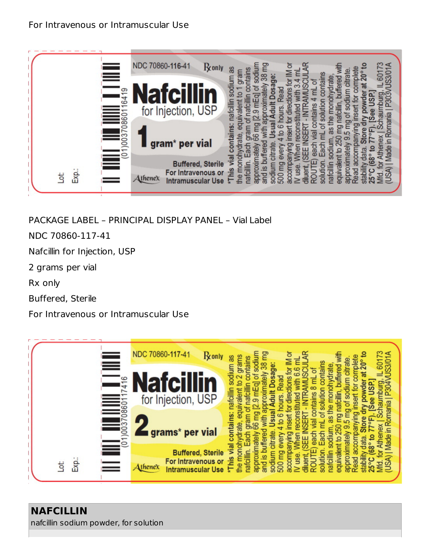

PACKAGE LABEL – PRINCIPAL DISPLAY PANEL – Vial Label

NDC 70860-117-41

Nafcillin for Injection, USP

2 grams per vial

Rx only

Buffered, Sterile

For Intravenous or Intramuscular Use

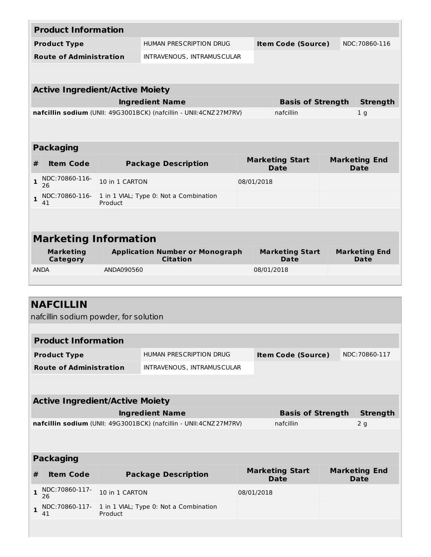| <b>Product Information</b>     |                                        |                |                                                                   |                                |                                |  |                                     |  |
|--------------------------------|----------------------------------------|----------------|-------------------------------------------------------------------|--------------------------------|--------------------------------|--|-------------------------------------|--|
| <b>Product Type</b>            |                                        |                | HUMAN PRESCRIPTION DRUG                                           |                                | <b>Item Code (Source)</b>      |  | NDC: 70860-116                      |  |
| <b>Route of Administration</b> |                                        |                | INTRAVENOUS, INTRAMUSCULAR                                        |                                |                                |  |                                     |  |
|                                |                                        |                |                                                                   |                                |                                |  |                                     |  |
|                                | <b>Active Ingredient/Active Moiety</b> |                |                                                                   |                                |                                |  |                                     |  |
|                                |                                        |                | <b>Ingredient Name</b>                                            |                                | <b>Basis of Strength</b>       |  | <b>Strength</b>                     |  |
|                                |                                        |                | nafcillin sodium (UNII: 49G3001BCK) (nafcillin - UNII:4CNZ27M7RV) |                                | nafcillin                      |  | 1 <sub>g</sub>                      |  |
|                                |                                        |                |                                                                   |                                |                                |  |                                     |  |
|                                |                                        |                |                                                                   |                                |                                |  |                                     |  |
|                                | <b>Packaging</b>                       |                |                                                                   |                                |                                |  |                                     |  |
| #                              | <b>Item Code</b>                       |                | <b>Package Description</b>                                        | <b>Marketing Start</b><br>Date |                                |  | <b>Marketing End</b><br><b>Date</b> |  |
|                                |                                        |                |                                                                   |                                |                                |  |                                     |  |
| $\mathbf{1}$                   | NDC:70860-116-<br>26                   | 10 in 1 CARTON |                                                                   | 08/01/2018                     |                                |  |                                     |  |
| $\mathbf{1}$                   | NDC:70860-116-<br>41                   | Product        | 1 in 1 VIAL; Type 0: Not a Combination                            |                                |                                |  |                                     |  |
|                                |                                        |                |                                                                   |                                |                                |  |                                     |  |
|                                |                                        |                |                                                                   |                                |                                |  |                                     |  |
|                                | <b>Marketing Information</b>           |                |                                                                   |                                |                                |  |                                     |  |
|                                | <b>Marketing</b><br>Category           |                | <b>Application Number or Monograph</b><br><b>Citation</b>         |                                | <b>Marketing Start</b><br>Date |  | <b>Marketing End</b><br>Date        |  |
|                                | <b>ANDA</b>                            | ANDA090560     |                                                                   | 08/01/2018                     |                                |  |                                     |  |

|                                | <b>NAFCILLIN</b><br>nafcillin sodium powder, for solution         |                |                                        |            |                                       |                 |                |                                     |
|--------------------------------|-------------------------------------------------------------------|----------------|----------------------------------------|------------|---------------------------------------|-----------------|----------------|-------------------------------------|
|                                |                                                                   |                |                                        |            |                                       |                 |                |                                     |
|                                | <b>Product Information</b>                                        |                |                                        |            |                                       |                 |                |                                     |
| <b>Product Type</b>            |                                                                   |                | HUMAN PRESCRIPTION DRUG                |            | <b>Item Code (Source)</b>             |                 | NDC: 70860-117 |                                     |
| <b>Route of Administration</b> |                                                                   |                | INTRAVENOUS, INTRAMUSCULAR             |            |                                       |                 |                |                                     |
|                                |                                                                   |                |                                        |            |                                       |                 |                |                                     |
|                                | <b>Active Ingredient/Active Moiety</b>                            |                |                                        |            |                                       |                 |                |                                     |
|                                | <b>Ingredient Name</b><br><b>Basis of Strength</b>                |                |                                        |            |                                       | <b>Strength</b> |                |                                     |
|                                | nafcillin sodium (UNII: 49G3001BCK) (nafcillin - UNII:4CNZ27M7RV) |                |                                        |            | nafcillin                             |                 |                | 2 <sub>g</sub>                      |
|                                |                                                                   |                |                                        |            |                                       |                 |                |                                     |
|                                |                                                                   |                |                                        |            |                                       |                 |                |                                     |
|                                | <b>Packaging</b>                                                  |                |                                        |            |                                       |                 |                |                                     |
| #                              | <b>Item Code</b>                                                  |                | <b>Package Description</b>             |            | <b>Marketing Start</b><br><b>Date</b> |                 |                | <b>Marketing End</b><br><b>Date</b> |
| $\mathbf{1}$                   | NDC:70860-117-<br>26                                              | 10 in 1 CARTON |                                        | 08/01/2018 |                                       |                 |                |                                     |
| $\mathbf{1}$                   | NDC:70860-117-<br>41                                              | Product        | 1 in 1 VIAL; Type 0: Not a Combination |            |                                       |                 |                |                                     |
|                                |                                                                   |                |                                        |            |                                       |                 |                |                                     |